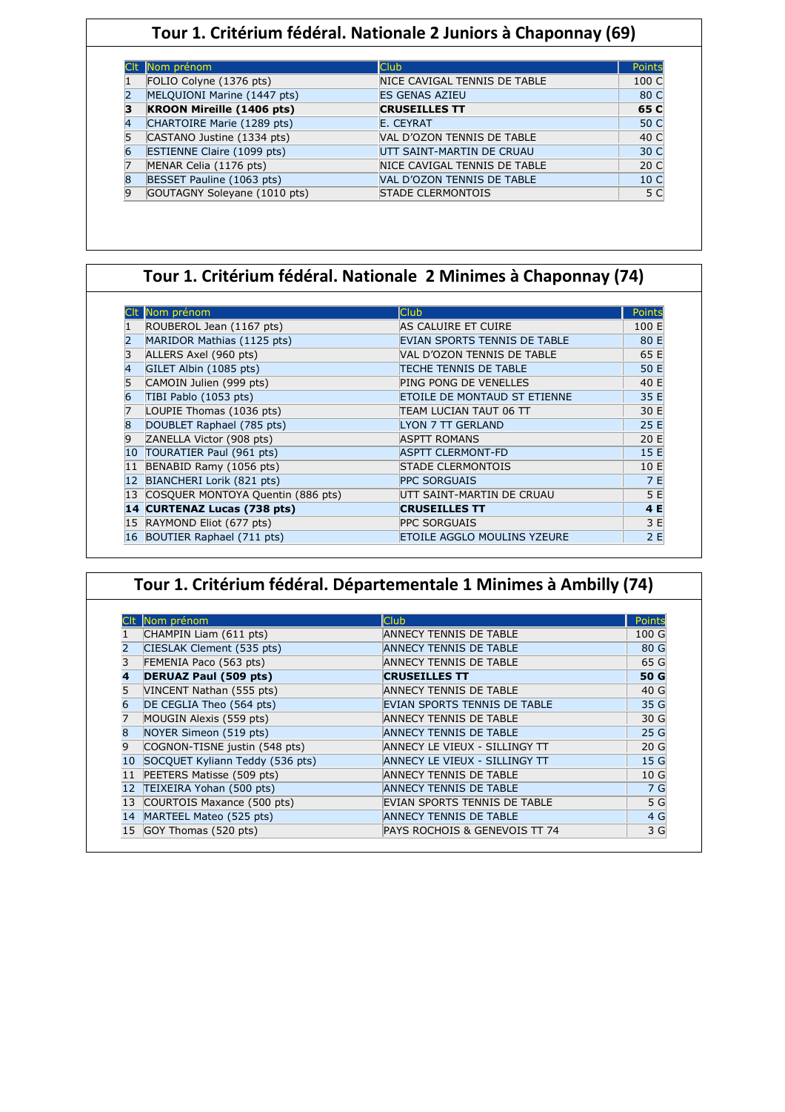### **Tour 1. Critérium fédéral. Nationale 2 Juniors à Chaponnay (69)**

| Nom prénom                   | <b>Club</b>                  | Points          |
|------------------------------|------------------------------|-----------------|
| FOLIO Colyne (1376 pts)      | NICE CAVIGAL TENNIS DE TABLE | 100 C           |
| MELQUIONI Marine (1447 pts)  | <b>ES GENAS AZIEU</b>        | 80 C            |
| KROON Mireille (1406 pts)    | <b>CRUSEILLES TT</b>         | 65 C            |
| CHARTOIRE Marie (1289 pts)   | E. CEYRAT                    | 50 C            |
| CASTANO Justine (1334 pts)   | VAL D'OZON TENNIS DE TABLE   | 40 C            |
| ESTIENNE Claire (1099 pts)   | UTT SAINT-MARTIN DE CRUAU    | 30 C            |
| MENAR Celia (1176 pts)       | NICE CAVIGAL TENNIS DE TABLE | 20 C            |
| BESSET Pauline (1063 pts)    | VAL D'OZON TENNIS DE TABLE   | 10 <sub>C</sub> |
| GOUTAGNY Soleyane (1010 pts) | <b>STADE CLERMONTOIS</b>     | 5 C             |

# **Tour 1. Critérium fédéral. Nationale 2 Minimes à Chaponnay (74)**

|    | Nom prénom                        | <b>Club</b>                         | Points |
|----|-----------------------------------|-------------------------------------|--------|
|    | ROUBEROL Jean (1167 pts)          | AS CALUIRE ET CUIRE                 | 100 E  |
|    | MARIDOR Mathias (1125 pts)        | EVIAN SPORTS TENNIS DE TABLE        | 80 E   |
|    | ALLERS Axel (960 pts)             | VAL D'OZON TENNIS DE TABLE          | 65 E   |
|    | GILET Albin (1085 pts)            | <b>TECHE TENNIS DE TABLE</b>        | 50 E   |
|    | CAMOIN Julien (999 pts)           | PING PONG DE VENELLES               | 40 E   |
|    | TIBI Pablo (1053 pts)             | <b>ETOILE DE MONTAUD ST ETIENNE</b> | 35 E   |
|    | LOUPIE Thomas (1036 pts)          | TEAM LUCIAN TAUT 06 TT              | 30 E   |
|    | DOUBLET Raphael (785 pts)         | LYON 7 TT GERLAND                   | 25 E   |
| 9  | ZANELLA Victor (908 pts)          | <b>ASPTT ROMANS</b>                 | 20 E   |
| 10 | TOURATIER Paul (961 pts)          | <b>ASPTT CLERMONT-FD</b>            | 15E    |
| 11 | BENABID Ramy (1056 pts)           | <b>STADE CLERMONTOIS</b>            | 10 E   |
| 12 | BIANCHERI Lorik (821 pts)         | <b>PPC SORGUAIS</b>                 | 7 E    |
| 13 | COSQUER MONTOYA Quentin (886 pts) | UTT SAINT-MARTIN DE CRUAU           | 5 E    |
|    | 14 CURTENAZ Lucas (738 pts)       | <b>CRUSEILLES TT</b>                | 4 E    |
|    | 15 RAYMOND Eliot (677 pts)        | <b>PPC SORGUAIS</b>                 | 3 E    |
|    | 16 BOUTIER Raphael (711 pts)      | <b>ETOILE AGGLO MOULINS YZEURE</b>  | 2E     |

|                 | Tour 1. Critérium fédéral. Départementale 1 Minimes à Ambilly (74) |                               |                 |  |  |
|-----------------|--------------------------------------------------------------------|-------------------------------|-----------------|--|--|
|                 |                                                                    |                               |                 |  |  |
|                 | CIt Nom prénom                                                     | <b>Club</b>                   | Points          |  |  |
|                 | CHAMPIN Liam (611 pts)                                             | ANNECY TENNIS DE TABLE        | 100 G           |  |  |
|                 | CIESLAK Clement (535 pts)                                          | <b>ANNECY TENNIS DE TABLE</b> | 80 G            |  |  |
|                 | FEMENIA Paco (563 pts)                                             | ANNECY TENNIS DE TABLE        | 65 G            |  |  |
| 4               | <b>DERUAZ Paul (509 pts)</b>                                       | <b>CRUSEILLES TT</b>          | 50 G            |  |  |
|                 | VINCENT Nathan (555 pts)                                           | <b>ANNECY TENNIS DE TABLE</b> | 40 G            |  |  |
| 6               | DE CEGLIA Theo (564 pts)                                           | EVIAN SPORTS TENNIS DE TABLE  | 35 G            |  |  |
|                 | MOUGIN Alexis (559 pts)                                            | ANNECY TENNIS DE TABLE        | 30 G            |  |  |
| $\overline{8}$  | NOYER Simeon (519 pts)                                             | <b>ANNECY TENNIS DE TABLE</b> | 25 <sub>g</sub> |  |  |
| 9               | COGNON-TISNE justin (548 pts)                                      | ANNECY LE VIEUX - SILLINGY TT | 20 <sub>G</sub> |  |  |
| 10              | SOCQUET Kyliann Teddy (536 pts)                                    | ANNECY LE VIEUX - SILLINGY TT | 15 <sub>G</sub> |  |  |
| 11 <sup>1</sup> | PEETERS Matisse (509 pts)                                          | ANNECY TENNIS DE TABLE        | 10 <sub>G</sub> |  |  |
| 12 <sup>2</sup> | TEIXEIRA Yohan (500 pts)                                           | <b>ANNECY TENNIS DE TABLE</b> | 7 G             |  |  |
|                 | 13 COURTOIS Maxance (500 pts)                                      | EVIAN SPORTS TENNIS DE TABLE  | 5 G             |  |  |
| 14              | MARTEEL Mateo (525 pts)                                            | <b>ANNECY TENNIS DE TABLE</b> | 4 G             |  |  |
| 15              | GOY Thomas (520 pts)                                               | PAYS ROCHOIS & GENEVOIS TT 74 | 3 G             |  |  |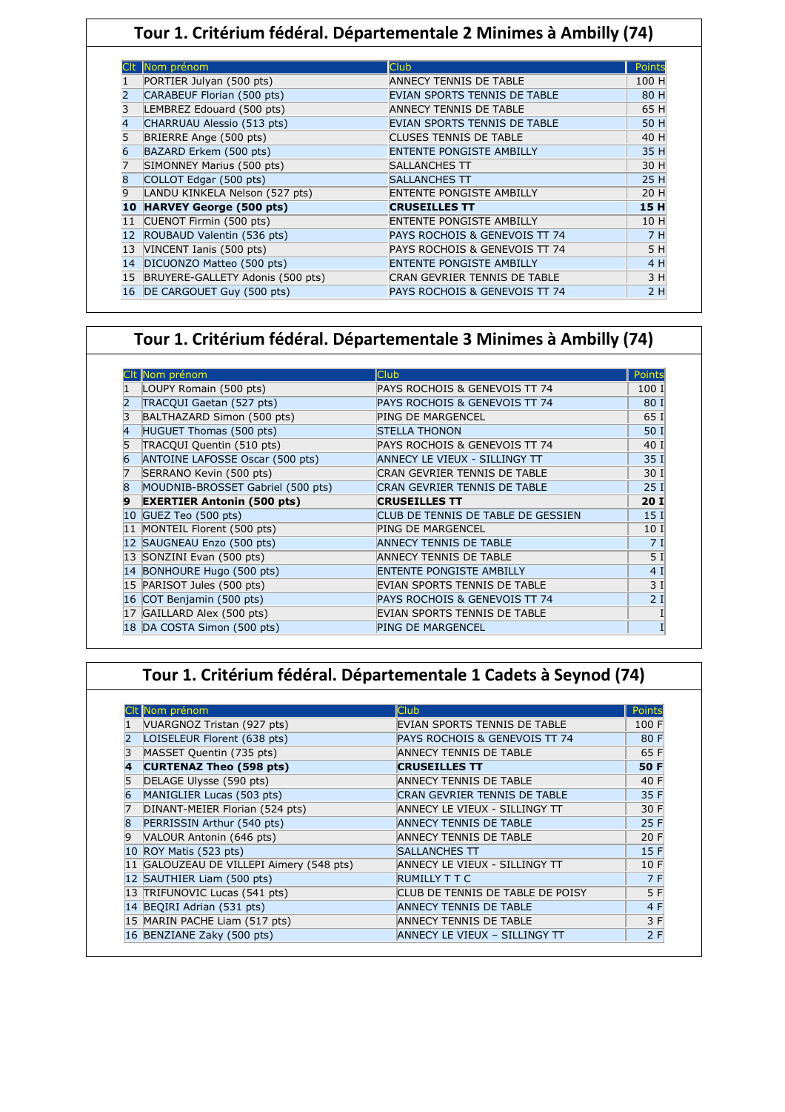### **Tour 1. Critérium fédéral. Départementale 2 Minimes à Ambilly (74)**

|    | Nom prénom                       | <b>Club</b>                     | <b>Points</b> |
|----|----------------------------------|---------------------------------|---------------|
|    | PORTIER Julyan (500 pts)         | <b>ANNECY TENNIS DE TABLE</b>   | 100 H         |
| 2  | CARABEUF Florian (500 pts)       | EVIAN SPORTS TENNIS DE TABLE    | 80 H          |
| 3  | LEMBREZ Edouard (500 pts)        | <b>ANNECY TENNIS DE TABLE</b>   | 65 H          |
| 4  | CHARRUAU Alessio (513 pts)       | EVIAN SPORTS TENNIS DE TABLE    | 50 H          |
| 5  | BRIERRE Ange (500 pts)           | CLUSES TENNIS DE TABLE          | 40 H          |
| 6  | BAZARD Erkem (500 pts)           | <b>ENTENTE PONGISTE AMBILLY</b> | 35 H          |
| 7  | SIMONNEY Marius (500 pts)        | <b>SALLANCHES TT</b>            | 30 H          |
| 8  | COLLOT Edgar (500 pts)           | <b>SALLANCHES TT</b>            | 25 H          |
| 9  | LANDU KINKELA Nelson (527 pts)   | <b>ENTENTE PONGISTE AMBILLY</b> | 20 H          |
| 10 | <b>HARVEY George (500 pts)</b>   | <b>CRUSEILLES TT</b>            | 15H           |
| 11 | CUENOT Firmin (500 pts)          | <b>ENTENTE PONGISTE AMBILLY</b> | 10 H          |
| 12 | ROUBAUD Valentin (536 pts)       | PAYS ROCHOIS & GENEVOIS TT 74   | 7 H           |
| 13 | VINCENT Ianis (500 pts)          | PAYS ROCHOIS & GENEVOIS TT 74   | 5 H           |
| 14 | DICUONZO Matteo (500 pts)        | <b>ENTENTE PONGISTE AMBILLY</b> | 4 H           |
| 15 | BRUYERE-GALLETY Adonis (500 pts) | CRAN GEVRIER TENNIS DE TABLE    | 3 H           |
| 16 | DE CARGOUET Guy (500 pts)        | PAYS ROCHOIS & GENEVOIS TT 74   | 2H            |

### **Tour 1. Critérium fédéral. Départementale 3 Minimes à Ambilly (74)**

|   | Nom prénom                        | Club                               | Points |
|---|-----------------------------------|------------------------------------|--------|
|   | LOUPY Romain (500 pts)            | PAYS ROCHOIS & GENEVOIS TT 74      | 100 I  |
|   | TRACQUI Gaetan (527 pts)          | PAYS ROCHOIS & GENEVOIS TT 74      | 80 I   |
|   | BALTHAZARD Simon (500 pts)        | <b>PING DE MARGENCEL</b>           | 65 I   |
|   | HUGUET Thomas (500 pts)           | <b>STELLA THONON</b>               | 50 I   |
|   | TRACQUI Quentin (510 pts)         | PAYS ROCHOIS & GENEVOIS TT 74      | 40 I   |
| 6 | ANTOINE LAFOSSE Oscar (500 pts)   | ANNECY LE VIEUX - SILLINGY TT      | 35 I   |
|   | SERRANO Kevin (500 pts)           | CRAN GEVRIER TENNIS DE TABLE       | 30 I   |
| 8 | MOUDNIB-BROSSET Gabriel (500 pts) | CRAN GEVRIER TENNIS DE TABLE       | 25I    |
| 9 | <b>EXERTIER Antonin (500 pts)</b> | <b>CRUSEILLES TT</b>               | 20I    |
|   | 10 $GUEZ$ Teo (500 pts)           | CLUB DE TENNIS DE TABLE DE GESSIEN | 15 I   |
|   | 11 MONTEIL Florent (500 pts)      | <b>PING DE MARGENCEL</b>           | 10 I   |
|   | 12 SAUGNEAU Enzo (500 pts)        | <b>ANNECY TENNIS DE TABLE</b>      | 7I     |
|   | 13 SONZINI Evan (500 pts)         | ANNECY TENNIS DE TABLE             | 5 I    |
|   | 14 BONHOURE Hugo (500 pts)        | <b>ENTENTE PONGISTE AMBILLY</b>    | 4I     |
|   | 15 PARISOT Jules (500 pts)        | EVIAN SPORTS TENNIS DE TABLE       | 3I     |
|   | 16 COT Benjamin (500 pts)         | PAYS ROCHOIS & GENEVOIS TT 74      | 2I     |
|   | GAILLARD Alex (500 pts)           | EVIAN SPORTS TENNIS DE TABLE       |        |
|   | 18 DA COSTA Simon (500 pts)       | <b>PING DE MARGENCEL</b>           |        |

# **Tour 1. Critérium fédéral. Départementale 1 Cadets à Seynod (74)**

|   | Nom prénom                               | <b>Club</b>                      | <b>Points</b> |
|---|------------------------------------------|----------------------------------|---------------|
|   | VUARGNOZ Tristan (927 pts)               | EVIAN SPORTS TENNIS DE TABLE     | 100 F         |
| 2 | LOISELEUR Florent (638 pts)              | PAYS ROCHOIS & GENEVOIS TT 74    | 80 F          |
| 3 | MASSET Quentin (735 pts)                 | <b>ANNECY TENNIS DE TABLE</b>    | 65 F          |
|   | <b>CURTENAZ Theo (598 pts)</b>           | <b>CRUSEILLES TT</b>             | 50 F          |
|   | DELAGE Ulysse (590 pts)                  | <b>ANNECY TENNIS DE TABLE</b>    | 40 F          |
| 6 | MANIGLIER Lucas (503 pts)                | CRAN GEVRIER TENNIS DE TABLE     | 35 F          |
| 7 | DINANT-MEIER Florian (524 pts)           | ANNECY LE VIEUX - SILLINGY TT    | 30 F          |
| 8 | PERRISSIN Arthur (540 pts)               | <b>ANNECY TENNIS DE TABLE</b>    | 25 F          |
| 9 | VALOUR Antonin (646 pts)                 | <b>ANNECY TENNIS DE TABLE</b>    | 20 F          |
|   | 10 ROY Matis (523 pts)                   | <b>SALLANCHES TT</b>             | 15F           |
|   | 11 GALOUZEAU DE VILLEPI Aimery (548 pts) | ANNECY LE VIEUX - SILLINGY TT    | 10 F          |
|   | 12 SAUTHIER Liam (500 pts)               | <b>RUMILLY T T C</b>             | 7 F           |
|   | 13 TRIFUNOVIC Lucas (541 pts)            | CLUB DE TENNIS DE TABLE DE POISY | 5 F           |
|   | 14 BEQIRI Adrian (531 pts)               | <b>ANNECY TENNIS DE TABLE</b>    | 4 F           |
|   | 15 MARIN PACHE Liam (517 pts)            | ANNECY TENNIS DE TABLE           | 3 F           |
|   | 16 BENZIANE Zaky (500 pts)               | ANNECY LE VIEUX - SILLINGY TT    | 2F            |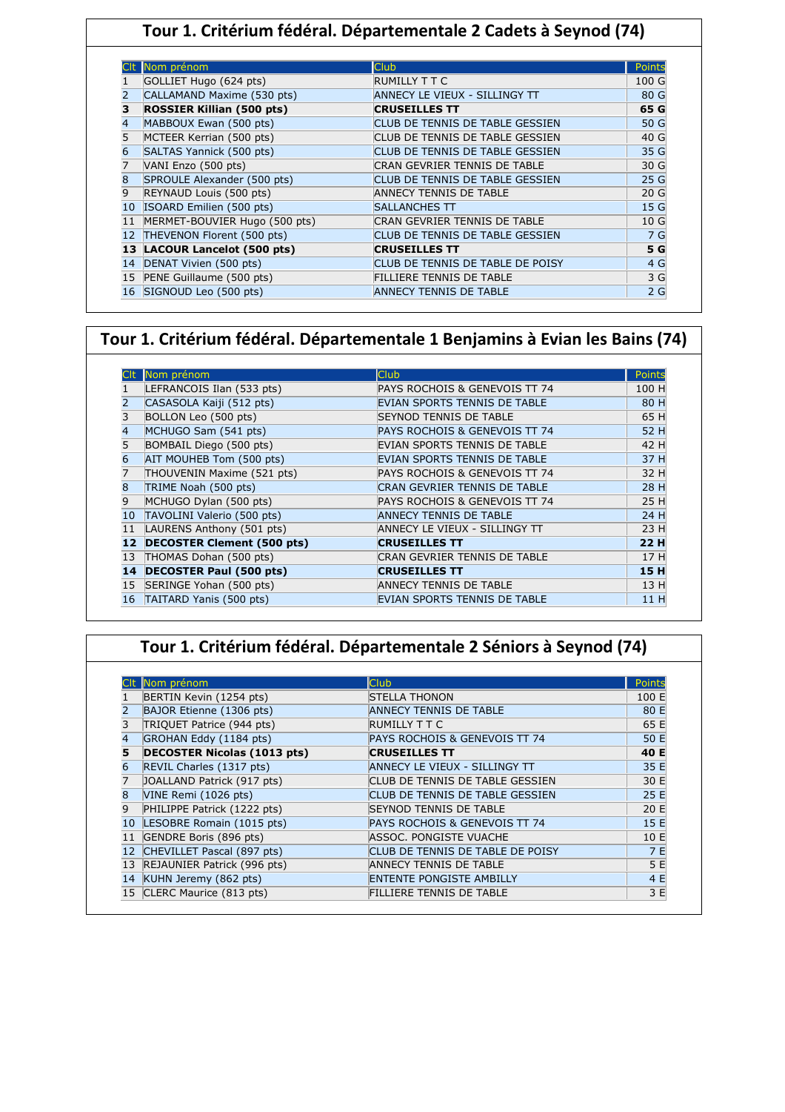## **Tour 1. Critérium fédéral. Départementale 2 Cadets à Seynod (74)**

|              | Nom prénom                       | Club.                            | Points          |
|--------------|----------------------------------|----------------------------------|-----------------|
|              | GOLLIET Hugo (624 pts)           | RUMILLY T T C                    | 100 G           |
|              | CALLAMAND Maxime (530 pts)       | ANNECY LE VIEUX - SILLINGY TT    | 80 G            |
| 3            | <b>ROSSIER Killian (500 pts)</b> | <b>CRUSEILLES TT</b>             | 65 G            |
| 4            | MABBOUX Ewan (500 pts)           | CLUB DE TENNIS DE TABLE GESSIEN  | 50 G            |
| 5            | MCTEER Kerrian (500 pts)         | CLUB DE TENNIS DE TABLE GESSIEN  | 40 G            |
| 6            | SALTAS Yannick (500 pts)         | CLUB DE TENNIS DE TABLE GESSIEN  | 35 G            |
| 7            | VANI Enzo (500 pts)              | CRAN GEVRIER TENNIS DE TABLE     | 30 G            |
| 8            | SPROULE Alexander (500 pts)      | CLUB DE TENNIS DE TABLE GESSIEN  | 25 G            |
| 9            | REYNAUD Louis (500 pts)          | <b>ANNECY TENNIS DE TABLE</b>    | 20 <sub>G</sub> |
| $ 10\rangle$ | ISOARD Emilien (500 pts)         | SALLANCHES TT                    | 15 G            |
| 11           | MERMET-BOUVIER Hugo (500 pts)    | CRAN GEVRIER TENNIS DE TABLE     | 10 G            |
| 12           | THEVENON Florent (500 pts)       | CLUB DE TENNIS DE TABLE GESSIEN  | 7 G             |
| 13           | LACOUR Lancelot (500 pts)        | <b>CRUSEILLES TT</b>             | 5 G             |
| 14           | DENAT Vivien (500 pts)           | CLUB DE TENNIS DE TABLE DE POISY | 4 G             |
| 15           | PENE Guillaume (500 pts)         | <b>FILLIERE TENNIS DE TABLE</b>  | 3 G             |
| 16           | SIGNOUD Leo (500 pts)            | <b>ANNECY TENNIS DE TABLE</b>    | 2G              |

### **Tour 1. Critérium fédéral. Départementale 1 Benjamins à Evian les Bains (74)**

|    | Nom prénom                        | <b>Club</b>                         | Points |
|----|-----------------------------------|-------------------------------------|--------|
|    | LEFRANCOIS Ilan (533 pts)         | PAYS ROCHOIS & GENEVOIS TT 74       | 100 H  |
|    | CASASOLA Kaiji (512 pts)          | EVIAN SPORTS TENNIS DE TABLE        | 80 H   |
| 3  | BOLLON Leo (500 pts)              | <b>SEYNOD TENNIS DE TABLE</b>       | 65 H   |
| 4  | MCHUGO Sam (541 pts)              | PAYS ROCHOIS & GENEVOIS TT 74       | 52 H   |
| 5  | BOMBAIL Diego (500 pts)           | EVIAN SPORTS TENNIS DE TABLE        | 42 H   |
| 6  | AIT MOUHEB Tom (500 pts)          | EVIAN SPORTS TENNIS DE TABLE        | 37 H   |
| 7  | THOUVENIN Maxime (521 pts)        | PAYS ROCHOIS & GENEVOIS TT 74       | 32 H   |
| 8  | TRIME Noah (500 pts)              | <b>CRAN GEVRIER TENNIS DE TABLE</b> | 28 H   |
| 9  | MCHUGO Dylan (500 pts)            | PAYS ROCHOIS & GENEVOIS TT 74       | 25 H   |
| 10 | TAVOLINI Valerio (500 pts)        | <b>ANNECY TENNIS DE TABLE</b>       | 24 H   |
| 11 | LAURENS Anthony (501 pts)         | ANNECY LE VIEUX - SILLINGY TT       | 23 H   |
| 12 | <b>DECOSTER Clement (500 pts)</b> | <b>CRUSEILLES TT</b>                | 22 H   |
| 13 | THOMAS Dohan (500 pts)            | CRAN GEVRIER TENNIS DE TABLE        | 17 H   |
| 14 | <b>DECOSTER Paul (500 pts)</b>    | <b>CRUSEILLES TT</b>                | 15 H   |
| 15 | SERINGE Yohan (500 pts)           | <b>ANNECY TENNIS DE TABLE</b>       | 13 H   |
| 16 | TAITARD Yanis (500 pts)           | EVIAN SPORTS TENNIS DE TABLE        | 11 H   |

## **Tour 1. Critérium fédéral. Départementale 2 Séniors à Seynod (74)**

|    | Nom prénom                         | Club                             | Points |
|----|------------------------------------|----------------------------------|--------|
|    | BERTIN Kevin (1254 pts)            | <b>STELLA THONON</b>             | 100 E  |
|    | BAJOR Etienne (1306 pts)           | <b>ANNECY TENNIS DE TABLE</b>    | 80 E   |
| 3  | TRIQUET Patrice (944 pts)          | RUMILLY T T C                    | 65 E   |
| 4  | GROHAN Eddy (1184 pts)             | PAYS ROCHOIS & GENEVOIS TT 74    | 50 E   |
| 5  | <b>DECOSTER Nicolas (1013 pts)</b> | <b>CRUSEILLES TT</b>             | 40 E   |
|    | REVIL Charles (1317 pts)           | ANNECY LE VIEUX - SILLINGY TT    | 35 E   |
| 7  | JOALLAND Patrick (917 pts)         | CLUB DE TENNIS DE TABLE GESSIEN  | 30 E   |
| 8  | VINE Remi (1026 pts)               | CLUB DE TENNIS DE TABLE GESSIEN  | 25 E   |
| 9  | PHILIPPE Patrick (1222 pts)        | <b>SEYNOD TENNIS DE TABLE</b>    | 20 E   |
| 10 | LESOBRE Romain (1015 pts)          | PAYS ROCHOIS & GENEVOIS TT 74    | 15 E   |
| 11 | GENDRE Boris (896 pts)             | ASSOC. PONGISTE VUACHE           | 10 E   |
| 12 | CHEVILLET Pascal (897 pts)         | CLUB DE TENNIS DE TABLE DE POISY | 7 E    |
| 13 | REJAUNIER Patrick (996 pts)        | <b>ANNECY TENNIS DE TABLE</b>    | 5 E    |
| 14 | KUHN Jeremy (862 pts)              | <b>ENTENTE PONGISTE AMBILLY</b>  | 4 E    |
| 15 | CLERC Maurice (813 pts)            | FILLIERE TENNIS DE TABLE         | 3 E    |